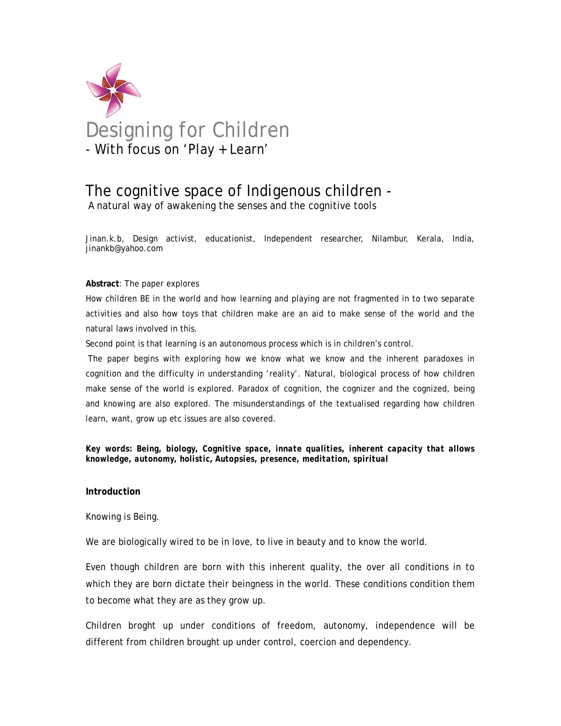

# The cognitive space of Indigenous children -

A natural way of awakening the senses and the cognitive tools

Jinan.k.b, Design activist, educationist, Independent researcher, Nilambur, Kerala, India, jinankb@yahoo.com

#### **Abstract**: The paper explores

How children BE in the world and how learning and playing are not fragmented in to two separate activities and also how toys that children make are an aid to make sense of the world and the natural laws involved in this.

Second point is that learning is an autonomous process which is in children's control.

 The paper begins with exploring how we know what we know and the inherent paradoxes in cognition and the difficulty in understanding 'reality'. Natural, biological process of how children make sense of the world is explored. Paradox of cognition, the cognizer and the cognized, being and knowing are also explored. The misunderstandings of the textualised regarding how children learn, want, grow up etc issues are also covered.

*Key words: Being, biology, Cognitive space, innate qualities, inherent capacity that allows knowledge, autonomy, holistic, Autopsies, presence, meditation, spiritual* 

#### **Introduction**

Knowing is Being.

We are biologically wired to be in love, to live in beauty and to know the world.

Even though children are born with this inherent quality, the over all conditions in to which they are born dictate their beingness in the world. These conditions condition them to become what they are as they grow up.

Children broght up under conditions of freedom, autonomy, independence will be different from children brought up under control, coercion and dependency.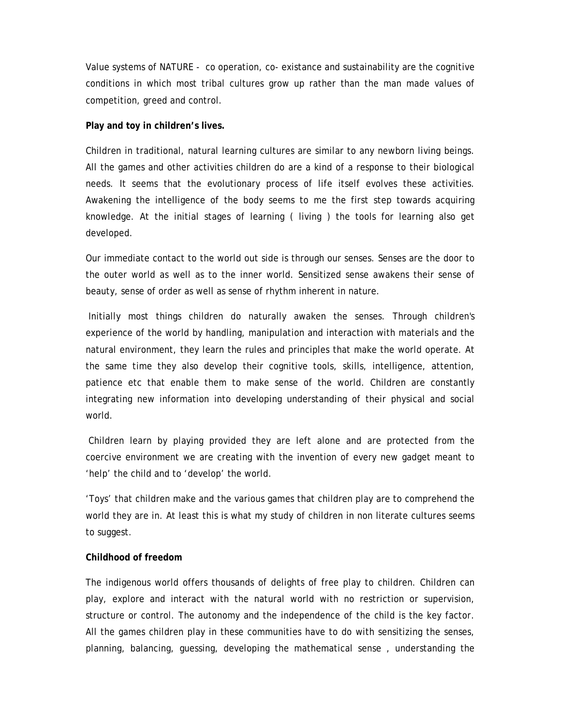Value systems of NATURE - co operation, co- existance and sustainability are the cognitive conditions in which most tribal cultures grow up rather than the man made values of competition, greed and control.

### **Play and toy in children's lives.**

Children in traditional, natural learning cultures are similar to any newborn living beings. All the games and other activities children do are a kind of a response to their biological needs. It seems that the evolutionary process of life itself evolves these activities. Awakening the intelligence of the body seems to me the first step towards acquiring knowledge. At the initial stages of learning ( living ) the tools for learning also get developed.

Our immediate contact to the world out side is through our senses. Senses are the door to the outer world as well as to the inner world. Sensitized sense awakens their sense of beauty, sense of order as well as sense of rhythm inherent in nature.

 Initially most things children do naturally awaken the senses. Through children's experience of the world by handling, manipulation and interaction with materials and the natural environment, they learn the rules and principles that make the world operate. At the same time they also develop their cognitive tools, skills, intelligence, attention, patience etc that enable them to make sense of the world. Children are constantly integrating new information into developing understanding of their physical and social world.

 Children learn by playing provided they are left alone and are protected from the coercive environment we are creating with the invention of every new gadget meant to 'help' the child and to 'develop' the world.

'Toys' that children make and the various games that children play are to comprehend the world they are in. At least this is what my study of children in non literate cultures seems to suggest.

## **Childhood of freedom**

The indigenous world offers thousands of delights of free play to children. Children can play, explore and interact with the natural world with no restriction or supervision, structure or control. The autonomy and the independence of the child is the key factor. All the games children play in these communities have to do with sensitizing the senses, planning, balancing, guessing, developing the mathematical sense , understanding the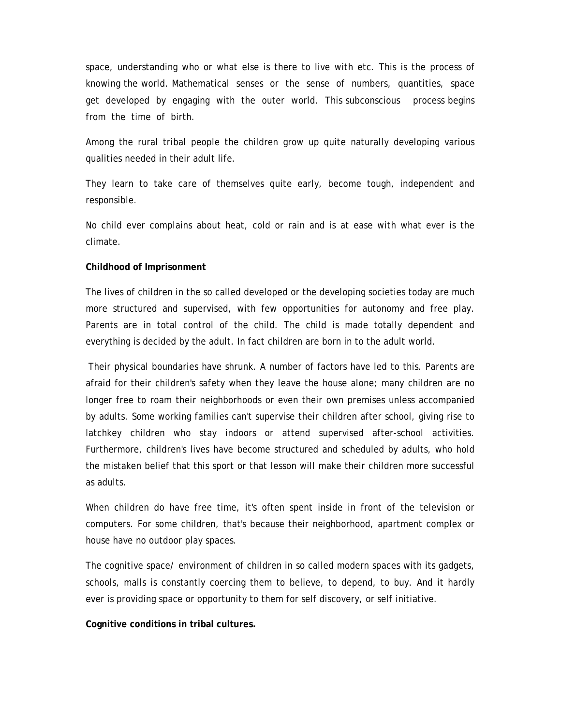space, understanding who or what else is there to live with etc. This is the process of knowing the world. Mathematical senses or the sense of numbers, quantities, space get developed by engaging with the outer world. This subconscious process begins from the time of birth.

Among the rural tribal people the children grow up quite naturally developing various qualities needed in their adult life.

They learn to take care of themselves quite early, become tough, independent and responsible.

No child ever complains about heat, cold or rain and is at ease with what ever is the climate.

#### **Childhood of Imprisonment**

The lives of children in the so called developed or the developing societies today are much more structured and supervised, with few opportunities for autonomy and free play. Parents are in total control of the child. The child is made totally dependent and everything is decided by the adult. In fact children are born in to the adult world.

 Their physical boundaries have shrunk. A number of factors have led to this. Parents are afraid for their children's safety when they leave the house alone; many children are no longer free to roam their neighborhoods or even their own premises unless accompanied by adults. Some working families can't supervise their children after school, giving rise to latchkey children who stay indoors or attend supervised after-school activities. Furthermore, children's lives have become structured and scheduled by adults, who hold the mistaken belief that this sport or that lesson will make their children more successful as adults.

When children do have free time, it's often spent inside in front of the television or computers. For some children, that's because their neighborhood, apartment complex or house have no outdoor play spaces.

The cognitive space/ environment of children in so called modern spaces with its gadgets, schools, malls is constantly coercing them to believe, to depend, to buy. And it hardly ever is providing space or opportunity to them for self discovery, or self initiative.

**Cognitive conditions in tribal cultures.**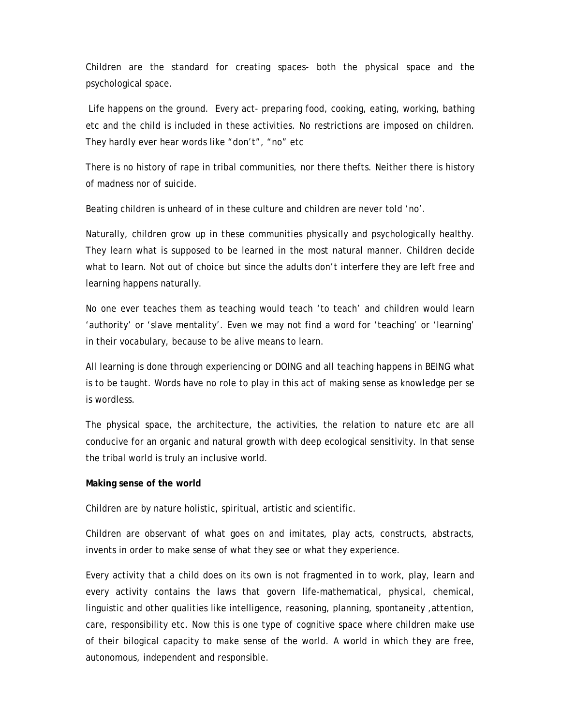Children are the standard for creating spaces- both the physical space and the psychological space.

 Life happens on the ground. Every act- preparing food, cooking, eating, working, bathing etc and the child is included in these activities. No restrictions are imposed on children. They hardly ever hear words like "don't", "no" etc

There is no history of rape in tribal communities, nor there thefts. Neither there is history of madness nor of suicide.

Beating children is unheard of in these culture and children are never told 'no'.

Naturally, children grow up in these communities physically and psychologically healthy. They learn what is supposed to be learned in the most natural manner. Children decide what to learn. Not out of choice but since the adults don't interfere they are left free and learning happens naturally.

 No one ever teaches them as teaching would teach 'to teach' and children would learn 'authority' or 'slave mentality'. Even we may not find a word for 'teaching' or 'learning' in their vocabulary, because to be alive means to learn.

All learning is done through experiencing or DOING and all teaching happens in BEING what is to be taught. Words have no role to play in this act of making sense as knowledge per se is wordless.

The physical space, the architecture, the activities, the relation to nature etc are all conducive for an organic and natural growth with deep ecological sensitivity. In that sense the tribal world is truly an inclusive world.

## **Making sense of the world**

Children are by nature holistic, spiritual, artistic and scientific.

Children are observant of what goes on and imitates, play acts, constructs, abstracts, invents in order to make sense of what they see or what they experience.

Every activity that a child does on its own is not fragmented in to work, play, learn and every activity contains the laws that govern life-mathematical, physical, chemical, linguistic and other qualities like intelligence, reasoning, planning, spontaneity ,attention, care, responsibility etc. Now this is one type of cognitive space where children make use of their bilogical capacity to make sense of the world. A world in which they are free, autonomous, independent and responsible.